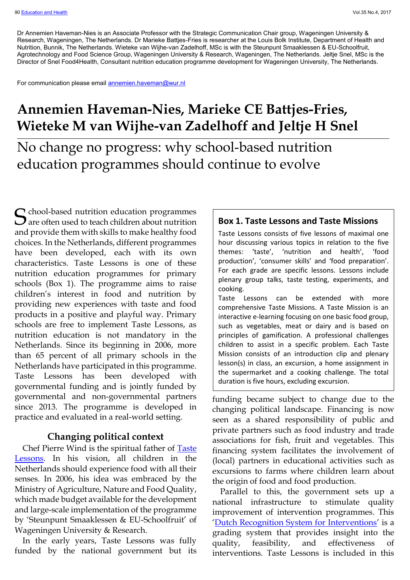Dr Annemien Haveman-Nies is an Associate Professor with the Strategic Communication Chair group, Wageningen University & Research, Wageningen, The Netherlands. Dr Marieke Battjes-Fries is researcher at the Louis Bolk Institute, Department of Health and Nutrition, Bunnik, The Netherlands. Wieteke van Wijhe-van Zadelhoff, MSc is with the Steunpunt Smaaklessen & EU-Schoolfruit, Agrotechnology and Food Science Group, Wageningen University & Research, Wageningen, The Netherlands. Jeltje Snel, MSc is the Director of Snel Food4Health, Consultant nutrition education programme development for Wageningen University, The Netherlands.

For communication please email [annemien.haveman@wur.nl](mailto:annemien.haveman@wur.nl)

## **Annemien Haveman-Nies, Marieke CE Battjes-Fries, Wieteke M van Wijhe-van Zadelhoff and Jeltje H Snel**

No change no progress: why school-based nutrition education programmes should continue to evolve

S chool-based nutrition education programmes and Taste Missions and Taste Missions and Taste Missions and Taste Missions  $\mathbf{\mathcal{O}}$  are often used to teach children about nutrition and provide them with skills to make healthy food choices. In the Netherlands, different programmes have been developed, each with its own characteristics. Taste Lessons is one of these nutrition education programmes for primary schools (Box 1). The programme aims to raise children's interest in food and nutrition by providing new experiences with taste and food products in a positive and playful way. Primary schools are free to implement Taste Lessons, as nutrition education is not mandatory in the Netherlands. Since its beginning in 2006, more than 65 percent of all primary schools in the Netherlands have participated in this programme. Taste Lessons has been developed with governmental funding and is jointly funded by governmental and non-governmental partners since 2013. The programme is developed in practice and evaluated in a real-world setting.

### **Changing political context**

Chef Pierre Wind is the spiritual father of [Taste](https://www.smaaklessen.nl/)  [Lessons.](https://www.smaaklessen.nl/) In his vision, all children in the Netherlands should experience food with all their senses. In 2006, his idea was embraced by the Ministry of Agriculture, Nature and Food Quality, which made budget available for the development and large-scale implementation of the programme by 'Steunpunt Smaaklessen & EU-Schoolfruit' of Wageningen University & Research.

In the early years, Taste Lessons was fully funded by the national government but its

Taste Lessons consists of five lessons of maximal one hour discussing various topics in relation to the five themes: 'taste', 'nutrition and health', 'food production', 'consumer skills' and 'food preparation'. For each grade are specific lessons. Lessons include plenary group talks, taste testing, experiments, and cooking.

Taste Lessons can be extended with more comprehensive Taste Missions. A Taste Mission is an interactive e-learning focusing on one basic food group, such as vegetables, meat or dairy and is based on principles of gamification. A professional challenges children to assist in a specific problem. Each Taste Mission consists of an introduction clip and plenary lesson(s) in class, an excursion, a home assignment in the supermarket and a cooking challenge. The total duration is five hours, excluding excursion.

funding became subject to change due to the changing political landscape. Financing is now seen as a shared responsibility of public and private partners such as food industry and trade associations for fish, fruit and vegetables. This financing system facilitates the involvement of (local) partners in educational activities such as excursions to farms where children learn about the origin of food and food production.

Parallel to this, the government sets up a national infrastructure to stimulate quality improvement of intervention programmes. This '[Dutch Recognition System for Interventions](https://www.loketgezondleven.nl/node/1058)' is a grading system that provides insight into the quality, feasibility, and effectiveness of interventions. Taste Lessons is included in this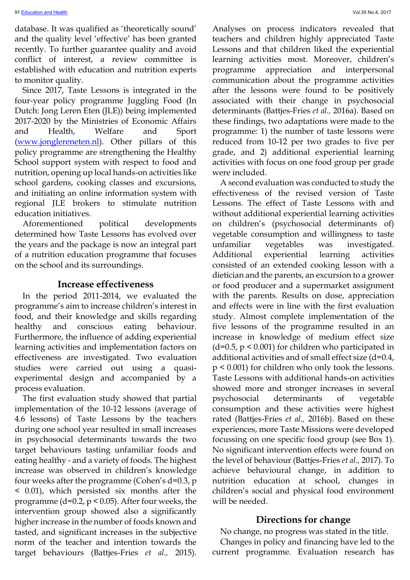database. It was qualified as 'theoretically sound' and the quality level 'effective' has been granted recently. To further guarantee quality and avoid conflict of interest, a review committee is established with education and nutrition experts to monitor quality.

Since 2017, Taste Lessons is integrated in the four-year policy programme Juggling Food (In Dutch: Jong Leren Eten (JLE)) being implemented 2017-2020 by the Ministries of Economic Affairs and Health, Welfare and Sport [\(www.jonglereneten.nl\)](https://www.jonglereneten.nl/). Other pillars of this policy programme are strengthening the Healthy School support system with respect to food and nutrition, opening up local hands-on activities like school gardens, cooking classes and excursions, and initiating an online information system with regional JLE brokers to stimulate nutrition education initiatives.

Aforementioned political developments determined how Taste Lessons has evolved over the years and the package is now an integral part of a nutrition education programme that focuses on the school and its surroundings.

## **Increase effectiveness**

In the period 2011-2014, we evaluated the programme's aim to increase children's interest in food, and their knowledge and skills regarding healthy and conscious eating behaviour. Furthermore, the influence of adding experiential learning activities and implementation factors on effectiveness are investigated. Two evaluation studies were carried out using a quasiexperimental design and accompanied by a process evaluation.

The first evaluation study showed that partial implementation of the 10-12 lessons (average of 4.6 lessons) of Taste Lessons by the teachers during one school year resulted in small increases in psychosocial determinants towards the two target behaviours tasting unfamiliar foods and eating healthy - and a variety of foods. The highest increase was observed in children's knowledge four weeks after the programme (Cohen's d=0.3, p < 0.01), which persisted six months after the programme ( $d=0.2$ ,  $p < 0.05$ ). After four weeks, the intervention group showed also a significantly higher increase in the number of foods known and tasted, and significant increases in the subjective norm of the teacher and intention towards the target behaviours (Battjes-Fries *et al.,* 2015).

Analyses on process indicators revealed that teachers and children highly appreciated Taste Lessons and that children liked the experiential learning activities most. Moreover, children's programme appreciation and interpersonal communication about the programme activities after the lessons were found to be positively associated with their change in psychosocial determinants (Battjes-Fries *et al.,* 2016a). Based on these findings, two adaptations were made to the programme: 1) the number of taste lessons were reduced from 10-12 per two grades to five per grade, and 2) additional experiential learning activities with focus on one food group per grade were included.

A second evaluation was conducted to study the effectiveness of the revised version of Taste Lessons. The effect of Taste Lessons with and without additional experiential learning activities on children's (psychosocial determinants of) vegetable consumption and willingness to taste unfamiliar vegetables was investigated. Additional experiential learning activities consisted of an extended cooking lesson with a dietician and the parents, an excursion to a grower or food producer and a supermarket assignment with the parents. Results on dose, appreciation and effects were in line with the first evaluation study. Almost complete implementation of the five lessons of the programme resulted in an increase in knowledge of medium effect size  $(d=0.5, p \le 0.001)$  for children who participated in additional activities and of small effect size (d=0.4, p < 0.001) for children who only took the lessons. Taste Lessons with additional hands-on activities showed more and stronger increases in several psychosocial determinants of vegetable consumption and these activities were highest rated (Battjes-Fries *et al.,* 2016b). Based on these experiences, more Taste Missions were developed focussing on one specific food group (see Box 1). No significant intervention effects were found on the level of behaviour (Battjes-Fries *et al.,* 2017). To achieve behavioural change, in addition to nutrition education at school, changes in children's social and physical food environment will be needed.

#### **Directions for change**

No change, no progress was stated in the title. Changes in policy and financing have led to the current programme. Evaluation research has